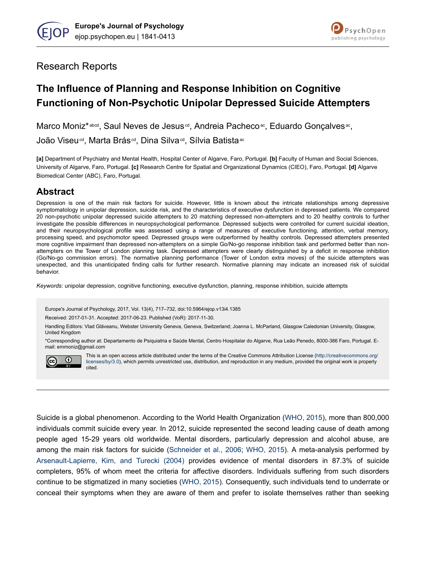



# Research Reports

# **The Influence of Planning and Response Inhibition on Cognitive Functioning of Non-Psychotic Unipolar Depressed Suicide Attempters**

Marco Moniz\*abcd, Saul Neves de Jesus<sup>ed</sup>, Andreia Pachecoac, Eduardo Gonçalvesac,

João Viseu<sup>cd</sup>, Marta Brás<sup>cd</sup>, Dina Silva<sup>cd</sup>, Sílvia Batista<sup>ac</sup>

**[a]** Department of Psychiatry and Mental Health, Hospital Center of Algarve, Faro, Portugal. **[b]** Faculty of Human and Social Sciences, University of Algarve, Faro, Portugal. **[c]** Research Centre for Spatial and Organizational Dynamics (CIEO), Faro, Portugal. **[d]** Algarve Biomedical Center (ABC), Faro, Portugal.

# **Abstract**

Depression is one of the main risk factors for suicide. However, little is known about the intricate relationships among depressive symptomatology in unipolar depression, suicide risk, and the characteristics of executive dysfunction in depressed patients. We compared 20 non-psychotic unipolar depressed suicide attempters to 20 matching depressed non-attempters and to 20 healthy controls to further investigate the possible differences in neuropsychological performance. Depressed subjects were controlled for current suicidal ideation, and their neuropsychological profile was assessed using a range of measures of executive functioning, attention, verbal memory, processing speed, and psychomotor speed. Depressed groups were outperformed by healthy controls. Depressed attempters presented more cognitive impairment than depressed non-attempters on a simple Go/No-go response inhibition task and performed better than nonattempters on the Tower of London planning task. Depressed attempters were clearly distinguished by a deficit in response inhibition (Go/No-go commission errors). The normative planning performance (Tower of London extra moves) of the suicide attempters was unexpected, and this unanticipated finding calls for further research. Normative planning may indicate an increased risk of suicidal behavior.

*Keywords:* unipolar depression, cognitive functioning, executive dysfunction, planning, response inhibition, suicide attempts

Europe's Journal of Psychology, 2017, Vol. 13(4), 717–732, doi:10.5964/ejop.v13i4.1385

Received: 2017-01-31. Accepted: 2017-06-23. Published (VoR): 2017-11-30.

Handling Editors: Vlad Glăveanu, Webster University Geneva, Geneva, Switzerland; Joanna L. McParland, Glasgow Caledonian University, Glasgow, United Kingdom

\*Corresponding author at: Departamento de Psiquiatria e Saúde Mental, Centro Hospitalar do Algarve, Rua Leão Penedo, 8000-386 Faro, Portugal. Email: emmoniz@gmail.com



This is an open access article distributed under the terms of the Creative Commons Attribution License [\(http://creativecommons.org/](http://creativecommons.org/licenses/by/3.0) [licenses/by/3.0\)](http://creativecommons.org/licenses/by/3.0), which permits unrestricted use, distribution, and reproduction in any medium, provided the original work is properly cited.

Suicide is a global phenomenon. According to the World Health Organization [\(WHO, 2015\)](#page-14-0), more than 800,000 individuals commit suicide every year. In 2012, suicide represented the second leading cause of death among people aged 15-29 years old worldwide. Mental disorders, particularly depression and alcohol abuse, are among the main risk factors for suicide ([Schneider et al., 2006;](#page-13-0) [WHO, 2015\)](#page-14-0). A meta-analysis performed by [Arsenault-Lapierre, Kim, and Turecki \(2004\)](#page-10-0) provides evidence of mental disorders in 87.3% of suicide completers, 95% of whom meet the criteria for affective disorders. Individuals suffering from such disorders continue to be stigmatized in many societies [\(WHO, 2015\)](#page-14-0). Consequently, such individuals tend to underrate or conceal their symptoms when they are aware of them and prefer to isolate themselves rather than seeking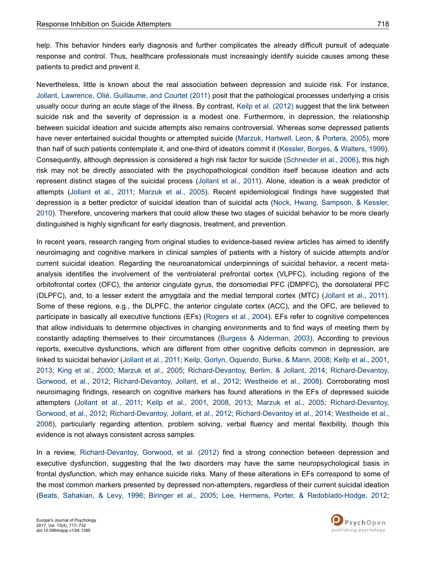help. This behavior hinders early diagnosis and further complicates the already difficult pursuit of adequate response and control. Thus, healthcare professionals must increasingly identify suicide causes among these patients to predict and prevent it.

Nevertheless, little is known about the real association between depression and suicide risk. For instance, [Jollant, Lawrence, Olié, Guillaume, and Courtet \(2011\)](#page-11-0) posit that the pathological processes underlying a crisis usually occur during an acute stage of the illness. By contrast, [Keilp et al. \(2012\)](#page-11-0) suggest that the link between suicide risk and the severity of depression is a modest one. Furthermore, in depression, the relationship between suicidal ideation and suicide attempts also remains controversial. Whereas some depressed patients have never entertained suicidal thoughts or attempted suicide [\(Marzuk, Hartwell, Leon, & Portera, 2005](#page-12-0)), more than half of such patients contemplate it, and one-third of ideators commit it [\(Kessler, Borges, & Walters, 1999](#page-12-0)). Consequently, although depression is considered a high risk factor for suicide [\(Schneider et al., 2006\)](#page-13-0), this high risk may not be directly associated with the psychopathological condition itself because ideation and acts represent distinct stages of the suicidal process [\(Jollant et al., 2011\)](#page-11-0). Alone, ideation is a weak predictor of attempts [\(Jollant et al., 2011](#page-11-0); [Marzuk et al., 2005\)](#page-12-0). Recent epidemiological findings have suggested that depression is a better predictor of suicidal ideation than of suicidal acts [\(Nock, Hwang, Sampson, & Kessler,](#page-13-0) [2010](#page-13-0)). Therefore, uncovering markers that could allow these two stages of suicidal behavior to be more clearly distinguished is highly significant for early diagnosis, treatment, and prevention.

In recent years, research ranging from original studies to evidence-based review articles has aimed to identify neuroimaging and cognitive markers in clinical samples of patients with a history of suicide attempts and/or current suicidal ideation. Regarding the neuroanatomical underpinnings of suicidal behavior, a recent metaanalysis identifies the involvement of the ventrolateral prefrontal cortex (VLPFC), including regions of the orbitofrontal cortex (OFC), the anterior cingulate gyrus, the dorsomedial PFC (DMPFC), the dorsolateral PFC (DLPFC), and, to a lesser extent the amygdala and the medial temporal cortex (MTC) ([Jollant et al., 2011](#page-11-0)). Some of these regions, e.g., the DLPFC, the anterior cingulate cortex (ACC), and the OFC, are believed to participate in basically all executive functions (EFs) [\(Rogers et al., 2004\)](#page-13-0). EFs refer to cognitive competences that allow individuals to determine objectives in changing environments and to find ways of meeting them by constantly adapting themselves to their circumstances [\(Burgess & Alderman, 2003](#page-10-0)). According to previous reports, executive dysfunctions, which are different from other cognitive deficits common in depression, are linked to suicidal behavior ([Jollant et al., 2011](#page-11-0); [Keilp, Gorlyn, Oquendo, Burke, & Mann, 2008](#page-11-0); [Keilp et al., 2001](#page-11-0), [2013](#page-11-0); [King et al., 2000](#page-12-0); [Marzuk et al., 2005;](#page-12-0) [Richard-Devantoy, Berlim, & Jollant, 2014;](#page-13-0) [Richard-Devantoy,](#page-13-0) [Gorwood, et al., 2012;](#page-13-0) [Richard-Devantoy, Jollant, et al., 2012;](#page-13-0) [Westheide et al., 2008](#page-14-0)). Corroborating most neuroimaging findings, research on cognitive markers has found alterations in the EFs of depressed suicide attempters [\(Jollant et al., 2011;](#page-11-0) [Keilp et al., 2001](#page-11-0), [2008,](#page-11-0) [2013;](#page-11-0) [Marzuk et al., 2005;](#page-12-0) [Richard-Devantoy,](#page-13-0) [Gorwood, et al., 2012;](#page-13-0) [Richard-Devantoy, Jollant, et al., 2012;](#page-13-0) [Richard-Devantoy et al., 2014](#page-13-0); [Westheide et al.,](#page-14-0) [2008](#page-14-0)), particularly regarding attention, problem solving, verbal fluency and mental flexibility, though this evidence is not always consistent across samples.

In a review, [Richard-Devantoy, Gorwood, et al. \(2012\)](#page-13-0) find a strong connection between depression and executive dysfunction, suggesting that the two disorders may have the same neuropsychological basis in frontal dysfunction, which may enhance suicide risks. Many of these alterations in EFs correspond to some of the most common markers presented by depressed non-attempters, regardless of their current suicidal ideation [\(Beats, Sahakian, & Levy, 1996](#page-10-0); [Biringer et al., 2005](#page-10-0); [Lee, Hermens, Porter, & Redoblado-Hodge, 2012](#page-12-0);

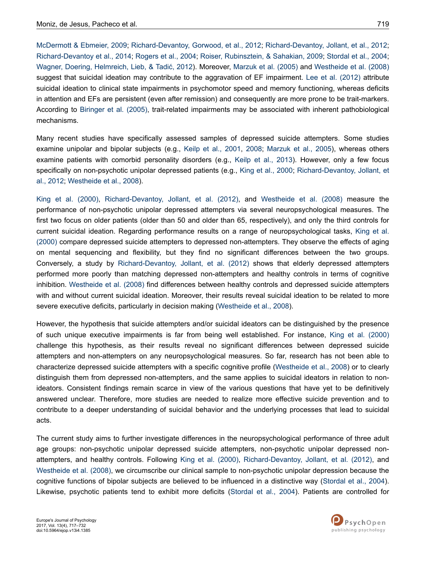[McDermott & Ebmeier, 2009;](#page-12-0) [Richard-Devantoy, Gorwood, et al., 2012](#page-13-0); [Richard-Devantoy, Jollant, et al., 2012](#page-13-0); [Richard-Devantoy et al., 2014; Rogers et al., 2004](#page-13-0); [Roiser, Rubinsztein, & Sahakian, 2009](#page-13-0); [Stordal et al., 2004](#page-14-0); [Wagner, Doering, Helmreich, Lieb, & Tadić, 2012](#page-14-0)). Moreover, [Marzuk et al. \(2005\)](#page-12-0) and [Westheide et al. \(2008\)](#page-14-0) suggest that suicidal ideation may contribute to the aggravation of EF impairment. [Lee et al. \(2012\)](#page-12-0) attribute suicidal ideation to clinical state impairments in psychomotor speed and memory functioning, whereas deficits in attention and EFs are persistent (even after remission) and consequently are more prone to be trait-markers. According to [Biringer et al. \(2005\)](#page-10-0), trait-related impairments may be associated with inherent pathobiological mechanisms.

Many recent studies have specifically assessed samples of depressed suicide attempters. Some studies examine unipolar and bipolar subjects (e.g., [Keilp et al., 2001,](#page-11-0) [2008](#page-11-0); [Marzuk et al., 2005\)](#page-12-0), whereas others examine patients with comorbid personality disorders (e.g., [Keilp et al., 2013](#page-11-0)). However, only a few focus specifically on non-psychotic unipolar depressed patients (e.g., [King et al., 2000](#page-12-0); [Richard-Devantoy, Jollant, et](#page-13-0) [al., 2012](#page-13-0); [Westheide et al., 2008](#page-14-0)).

[King et al. \(2000\),](#page-12-0) [Richard-Devantoy, Jollant, et al. \(2012\)](#page-13-0), and [Westheide et al. \(2008\)](#page-14-0) measure the performance of non-psychotic unipolar depressed attempters via several neuropsychological measures. The first two focus on older patients (older than 50 and older than 65, respectively), and only the third controls for current suicidal ideation. Regarding performance results on a range of neuropsychological tasks, [King et al.](#page-12-0) [\(2000\)](#page-12-0) compare depressed suicide attempters to depressed non-attempters. They observe the effects of aging on mental sequencing and flexibility, but they find no significant differences between the two groups. Conversely, a study by [Richard-Devantoy, Jollant, et al. \(2012\)](#page-13-0) shows that elderly depressed attempters performed more poorly than matching depressed non-attempters and healthy controls in terms of cognitive inhibition. [Westheide et al. \(2008\)](#page-14-0) find differences between healthy controls and depressed suicide attempters with and without current suicidal ideation. Moreover, their results reveal suicidal ideation to be related to more severe executive deficits, particularly in decision making ([Westheide et al., 2008](#page-14-0)).

However, the hypothesis that suicide attempters and/or suicidal ideators can be distinguished by the presence of such unique executive impairments is far from being well established. For instance, [King et al. \(2000\)](#page-12-0) challenge this hypothesis, as their results reveal no significant differences between depressed suicide attempters and non-attempters on any neuropsychological measures. So far, research has not been able to characterize depressed suicide attempters with a specific cognitive profile [\(Westheide et al., 2008](#page-14-0)) or to clearly distinguish them from depressed non-attempters, and the same applies to suicidal ideators in relation to nonideators. Consistent findings remain scarce in view of the various questions that have yet to be definitively answered unclear. Therefore, more studies are needed to realize more effective suicide prevention and to contribute to a deeper understanding of suicidal behavior and the underlying processes that lead to suicidal acts.

The current study aims to further investigate differences in the neuropsychological performance of three adult age groups: non-psychotic unipolar depressed suicide attempters, non-psychotic unipolar depressed nonattempters, and healthy controls. Following [King et al. \(2000\),](#page-12-0) [Richard-Devantoy, Jollant, et al. \(2012\)](#page-13-0), and [Westheide et al. \(2008\)](#page-14-0), we circumscribe our clinical sample to non-psychotic unipolar depression because the cognitive functions of bipolar subjects are believed to be influenced in a distinctive way ([Stordal et al., 2004](#page-14-0)). Likewise, psychotic patients tend to exhibit more deficits [\(Stordal et al., 2004\)](#page-14-0). Patients are controlled for

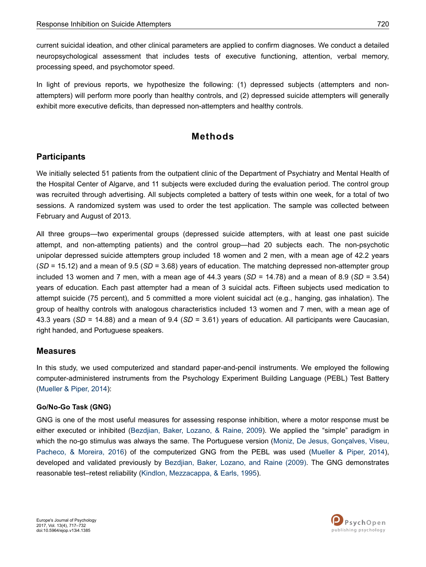current suicidal ideation, and other clinical parameters are applied to confirm diagnoses. We conduct a detailed neuropsychological assessment that includes tests of executive functioning, attention, verbal memory, processing speed, and psychomotor speed.

In light of previous reports, we hypothesize the following: (1) depressed subjects (attempters and nonattempters) will perform more poorly than healthy controls, and (2) depressed suicide attempters will generally exhibit more executive deficits, than depressed non-attempters and healthy controls.

# **Methods**

### **Participants**

We initially selected 51 patients from the outpatient clinic of the Department of Psychiatry and Mental Health of the Hospital Center of Algarve, and 11 subjects were excluded during the evaluation period. The control group was recruited through advertising. All subjects completed a battery of tests within one week, for a total of two sessions. A randomized system was used to order the test application. The sample was collected between February and August of 2013.

All three groups—two experimental groups (depressed suicide attempters, with at least one past suicide attempt, and non-attempting patients) and the control group—had 20 subjects each. The non-psychotic unipolar depressed suicide attempters group included 18 women and 2 men, with a mean age of 42.2 years (*SD* = 15.12) and a mean of 9.5 (*SD* = 3.68) years of education. The matching depressed non-attempter group included 13 women and 7 men, with a mean age of 44.3 years (*SD* = 14.78) and a mean of 8.9 (*SD* = 3.54) years of education. Each past attempter had a mean of 3 suicidal acts. Fifteen subjects used medication to attempt suicide (75 percent), and 5 committed a more violent suicidal act (e.g., hanging, gas inhalation). The group of healthy controls with analogous characteristics included 13 women and 7 men, with a mean age of 43.3 years (*SD* = 14.88) and a mean of 9.4 (*SD* = 3.61) years of education. All participants were Caucasian, right handed, and Portuguese speakers.

### **Measures**

In this study, we used computerized and standard paper-and-pencil instruments. We employed the following computer-administered instruments from the Psychology Experiment Building Language (PEBL) Test Battery [\(Mueller & Piper, 2014\)](#page-13-0):

### **Go/No-Go Task (GNG)**

GNG is one of the most useful measures for assessing response inhibition, where a motor response must be either executed or inhibited ([Bezdjian, Baker, Lozano, & Raine, 2009\)](#page-10-0). We applied the "simple" paradigm in which the no-go stimulus was always the same. The Portuguese version [\(Moniz, De Jesus, Gonçalves, Viseu,](#page-12-0) [Pacheco, & Moreira, 2016\)](#page-12-0) of the computerized GNG from the PEBL was used ([Mueller & Piper, 2014](#page-13-0)), developed and validated previously by [Bezdjian, Baker, Lozano, and Raine \(2009\)](#page-10-0). The GNG demonstrates reasonable test–retest reliability ([Kindlon, Mezzacappa, & Earls, 1995\)](#page-12-0).

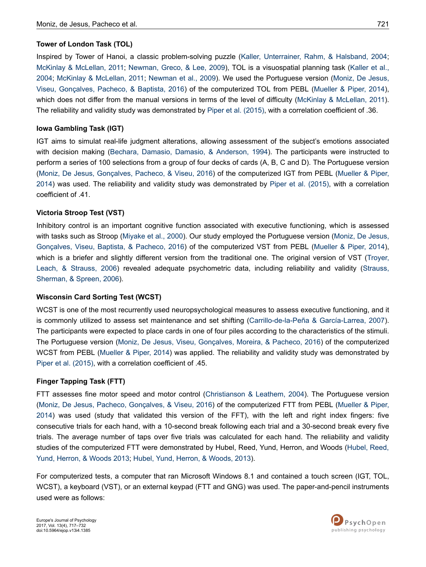#### **Tower of London Task (TOL)**

Inspired by Tower of Hanoi, a classic problem-solving puzzle [\(Kaller, Unterrainer, Rahm, & Halsband, 2004](#page-11-0); [McKinlay & McLellan, 2011](#page-12-0); [Newman, Greco, & Lee, 2009\)](#page-13-0), TOL is a visuospatial planning task ([Kaller et al.,](#page-11-0) [2004](#page-11-0); [McKinlay & McLellan, 2011;](#page-12-0) [Newman et al., 2009\)](#page-13-0). We used the Portuguese version [\(Moniz, De Jesus,](#page-13-0) [Viseu, Gonçalves, Pacheco, & Baptista, 2016\)](#page-13-0) of the computerized TOL from PEBL [\(Mueller & Piper, 2014](#page-13-0)), which does not differ from the manual versions in terms of the level of difficulty ([McKinlay & McLellan, 2011](#page-12-0)). The reliability and validity study was demonstrated by [Piper et al. \(2015\),](#page-13-0) with a correlation coefficient of .36.

#### **Iowa Gambling Task (IGT)**

IGT aims to simulat real-life judgment alterations, allowing assessment of the subject's emotions associated with decision making [\(Bechara, Damasio, Damasio, & Anderson, 1994\)](#page-10-0). The participants were instructed to perform a series of 100 selections from a group of four decks of cards (A, B, C and D). The Portuguese version [\(Moniz, De Jesus, Gonçalves, Pacheco, & Viseu, 2016\)](#page-12-0) of the computerized IGT from PEBL [\(Mueller & Piper,](#page-13-0) [2014](#page-13-0)) was used. The reliability and validity study was demonstrated by [Piper et al. \(2015\)](#page-13-0), with a correlation coefficient of .41.

#### **Victoria Stroop Test (VST)**

Inhibitory control is an important cognitive function associated with executive functioning, which is assessed with tasks such as Stroop [\(Miyake et al., 2000\)](#page-12-0). Our study employed the Portuguese version [\(Moniz, De Jesus,](#page-12-0) [Gonçalves, Viseu, Baptista, & Pacheco, 2016\)](#page-12-0) of the computerized VST from PEBL [\(Mueller & Piper, 2014](#page-13-0)), which is a briefer and slightly different version from the traditional one. The original version of VST ([Troyer,](#page-14-0) [Leach, & Strauss, 2006\)](#page-14-0) revealed adequate psychometric data, including reliability and validity ([Strauss,](#page-14-0) [Sherman, & Spreen, 2006\)](#page-14-0).

#### **Wisconsin Card Sorting Test (WCST)**

WCST is one of the most recurrently used neuropsychological measures to assess executive functioning, and it is commonly utilized to assess set maintenance and set shifting ([Carrillo-de-la-Peña & García-Larrea, 2007](#page-10-0)). The participants were expected to place cards in one of four piles according to the characteristics of the stimuli. The Portuguese version [\(Moniz, De Jesus, Viseu, Gonçalves, Moreira, & Pacheco, 2016](#page-12-0)) of the computerized WCST from PEBL ([Mueller & Piper, 2014](#page-13-0)) was applied. The reliability and validity study was demonstrated by [Piper et al. \(2015\),](#page-13-0) with a correlation coefficient of .45.

#### **Finger Tapping Task (FTT)**

FTT assesses fine motor speed and motor control [\(Christianson & Leathem, 2004\)](#page-11-0). The Portuguese version [\(Moniz, De Jesus, Pacheco, Gonçalves, & Viseu, 2016\)](#page-12-0) of the computerized FTT from PEBL ([Mueller & Piper,](#page-13-0) [2014](#page-13-0)) was used (study that validated this version of the FFT), with the left and right index fingers: five consecutive trials for each hand, with a 10-second break following each trial and a 30-second break every five trials. The average number of taps over five trials was calculated for each hand. The reliability and validity studies of the computerized FTT were demonstrated by Hubel, Reed, Yund, Herron, and Woods ([Hubel, Reed,](#page-11-0) [Yund, Herron, & Woods 2013; Hubel, Yund, Herron, & Woods, 2013\)](#page-11-0).

For computerized tests, a computer that ran Microsoft Windows 8.1 and contained a touch screen (IGT, TOL, WCST), a keyboard (VST), or an external keypad (FTT and GNG) was used. The paper-and-pencil instruments used were as follows:

Europe's Journal of Psychology 2017, Vol. 13(4), 717–732 doi:10.5964/ejop.v13i4.1385

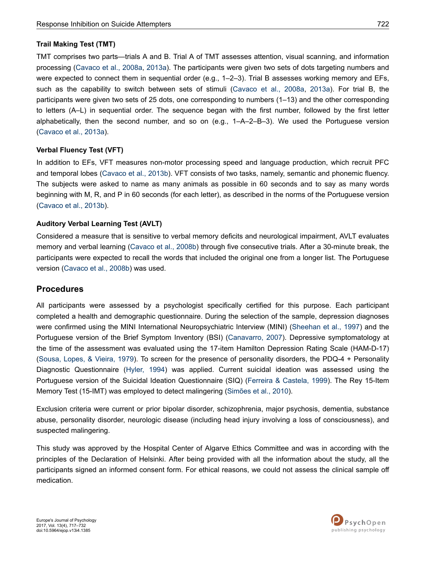#### **Trail Making Test (TMT)**

TMT comprises two parts—trials A and B. Trial A of TMT assesses attention, visual scanning, and information processing ([Cavaco et al., 2008a](#page-11-0), [2013a\)](#page-10-0). The participants were given two sets of dots targeting numbers and were expected to connect them in sequential order (e.g., 1–2–3). Trial B assesses working memory and EFs, such as the capability to switch between sets of stimuli ([Cavaco et al., 2008a,](#page-11-0) [2013a\)](#page-10-0). For trial B, the participants were given two sets of 25 dots, one corresponding to numbers (1–13) and the other corresponding to letters (A–L) in sequential order. The sequence began with the first number, followed by the first letter alphabetically, then the second number, and so on (e.g., 1–A–2–B–3). We used the Portuguese version [\(Cavaco et al., 2013a](#page-10-0)).

#### **Verbal Fluency Test (VFT)**

In addition to EFs, VFT measures non-motor processing speed and language production, which recruit PFC and temporal lobes ([Cavaco et al., 2013b](#page-11-0)). VFT consists of two tasks, namely, semantic and phonemic fluency. The subjects were asked to name as many animals as possible in 60 seconds and to say as many words beginning with M, R, and P in 60 seconds (for each letter), as described in the norms of the Portuguese version [\(Cavaco et al., 2013b](#page-11-0)).

### **Auditory Verbal Learning Test (AVLT)**

Considered a measure that is sensitive to verbal memory deficits and neurological impairment, AVLT evaluates memory and verbal learning [\(Cavaco et al., 2008b\)](#page-11-0) through five consecutive trials. After a 30-minute break, the participants were expected to recall the words that included the original one from a longer list. The Portuguese version [\(Cavaco et al., 2008b](#page-11-0)) was used.

### **Procedures**

All participants were assessed by a psychologist specifically certified for this purpose. Each participant completed a health and demographic questionnaire. During the selection of the sample, depression diagnoses were confirmed using the MINI International Neuropsychiatric Interview (MINI) [\(Sheehan et al., 1997](#page-13-0)) and the Portuguese version of the Brief Symptom Inventory (BSI) [\(Canavarro, 2007\)](#page-10-0). Depressive symptomatology at the time of the assessment was evaluated using the 17-item Hamilton Depression Rating Scale (HAM-D-17) [\(Sousa, Lopes, & Vieira, 1979](#page-14-0)). To screen for the presence of personality disorders, the PDQ-4 + Personality Diagnostic Questionnaire [\(Hyler, 1994](#page-11-0)) was applied. Current suicidal ideation was assessed using the Portuguese version of the Suicidal Ideation Questionnaire (SIQ) [\(Ferreira & Castela, 1999](#page-11-0)). The Rey 15-Item Memory Test (15-IMT) was employed to detect malingering ([Simões et al., 2010](#page-14-0)).

Exclusion criteria were current or prior bipolar disorder, schizophrenia, major psychosis, dementia, substance abuse, personality disorder, neurologic disease (including head injury involving a loss of consciousness), and suspected malingering.

This study was approved by the Hospital Center of Algarve Ethics Committee and was in according with the principles of the Declaration of Helsinki. After being provided with all the information about the study, all the participants signed an informed consent form. For ethical reasons, we could not assess the clinical sample off medication.

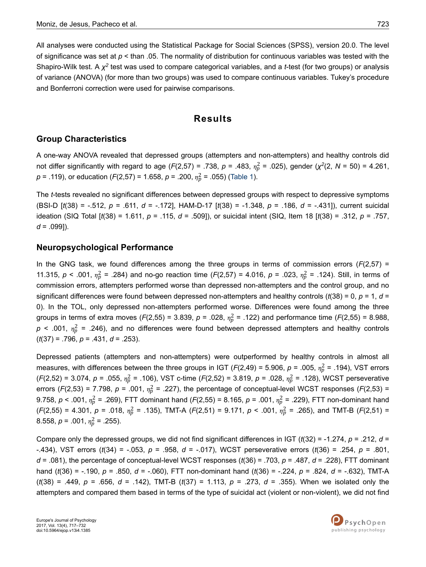All analyses were conducted using the Statistical Package for Social Sciences (SPSS), version 20.0. The level of significance was set at *p* < than .05. The normality of distribution for continuous variables was tested with the Shapiro-Wilk test. A *χ*<sup>2</sup> test was used to compare categorical variables, and a *t*-test (for two groups) or analysis of variance (ANOVA) (for more than two groups) was used to compare continuous variables. Tukey's procedure and Bonferroni correction were used for pairwise comparisons.

# **Results**

### **Group Characteristics**

A one-way ANOVA revealed that depressed groups (attempters and non-attempters) and healthy controls did not differ significantly with regard to age ( $F(2,57)$  = .738,  $p$  = .483,  $n_p^2$  = .025), gender ( $\chi^2(2, N = 50)$  = 4.261,  $p = .119$ ), or education (*F*(2,57) = 1.658,  $p = .200$ ,  $\eta_p^2 = .055$ ) [\(Table 1\)](#page-7-0).

The *t*-tests revealed no significant differences between depressed groups with respect to depressive symptoms (BSI-D [*t*(38) = -.512, *p* = .611, *d* = -.172], HAM-D-17 [*t*(38) = -1.348, *p* = .186, *d* = -.431]), current suicidal ideation (SIQ Total [*t*(38) = 1.611, *p* = .115, *d* = .509]), or suicidal intent (SIQ, Item 18 [*t*(38) = .312, *p* = .757, *d* = .099]).

### **Neuropsychological Performance**

In the GNG task, we found differences among the three groups in terms of commission errors (*F*(2,57) = 11.315,  $p < .001$ ,  $\eta_p^2 = .284$ ) and no-go reaction time (*F*(2,57) = 4.016,  $p = .023$ ,  $\eta_p^2 = .124$ ). Still, in terms of commission errors, attempters performed worse than depressed non-attempters and the control group, and no significant differences were found between depressed non-attempters and healthy controls (*t*(38) = 0, *p* = 1, *d* = 0). In the TOL, only depressed non-attempters performed worse. Differences were found among the three groups in terms of extra moves ( $F(2,55)$  = 3.839,  $p$  = .028,  $\eta_p^2$  = .122) and performance time ( $F(2,55)$  = 8.988,  $p$  < .001,  $\eta_p^2$  = .246), and no differences were found between depressed attempters and healthy controls (*t*(37) = .796, *p* = .431, *d* = .253).

Depressed patients (attempters and non-attempters) were outperformed by healthy controls in almost all measures, with differences between the three groups in IGT (*F*(2,49) = 5.906,  $p$  = .005,  $\eta_p^2$  = .194), VST errors  $(F(2,52) = 3.074, p = .055, \eta_p^2 = .106)$ , VST c-time  $(F(2,52) = 3.819, p = .028, \eta_p^2 = .128)$ , WCST perseverative errors (*F*(2,53) = 7.798,  $p = .001$ ,  $n_p^2 = .227$ ), the percentage of conceptual-level WCST responses (*F*(2,53) = 9.758,  $p < .001$ ,  $\eta_p^2$  = .269), FTT dominant hand (*F*(2,55) = 8.165,  $p = .001$ ,  $\eta_p^2$  = .229), FTT non-dominant hand  $(F(2,55) = 4.301, p = .018, \eta_p^2 = .135)$ , TMT-A  $(F(2,51) = 9.171, p < .001, \eta_p^2 = .265)$ , and TMT-B  $(F(2,51) =$ 8.558,  $p = .001$ ,  $\eta_p^2 = .255$ ).

Compare only the depressed groups, we did not find significant differences in IGT (*t*(32) = -1.274, *p* = .212, *d* = -.434), VST errors (*t*(34) = -.053, *p* = .958, *d* = -.017), WCST perseverative errors (*t*(36) = .254, *p* = .801, *d* = .081), the percentage of conceptual-level WCST responses (*t*(36) = .703, *p* = .487, *d* = .228), FTT dominant hand (*t*(36) = -.190, *p* = .850, *d* = -.060), FTT non-dominant hand (*t*(36) = -.224, *p* = .824, *d* = -.632), TMT-A (*t*(38) = .449, *p* = .656, *d* = .142), TMT-B (*t*(37) = 1.113, *p* = .273, *d* = .355). When we isolated only the attempters and compared them based in terms of the type of suicidal act (violent or non-violent), we did not find

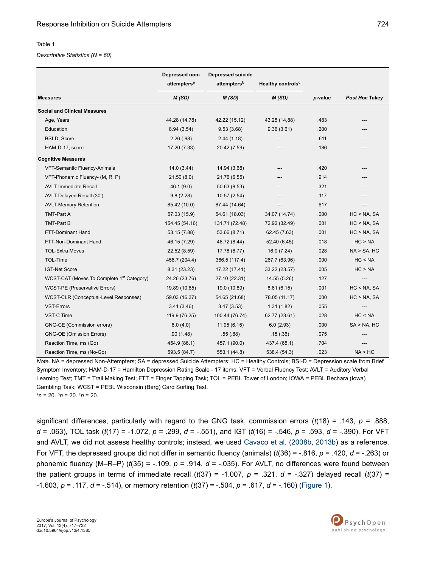#### <span id="page-7-0"></span>Table 1

#### *Descriptive Statistics (N = 60)*

|                                                       | Depressed non-<br>attempters <sup>a</sup> | <b>Depressed suicide</b><br>attempters <sup>b</sup> | Healthy controls <sup>c</sup> |         |                  |
|-------------------------------------------------------|-------------------------------------------|-----------------------------------------------------|-------------------------------|---------|------------------|
| <b>Measures</b>                                       | M(SD)                                     | M(SD)                                               | M(SD)                         | p-value | Post Hoc Tukey   |
| <b>Social and Clinical Measures</b>                   |                                           |                                                     |                               |         |                  |
| Age, Years                                            | 44.28 (14.78)                             | 42.22 (15.12)                                       | 43,25 (14,88)                 | .483    |                  |
| Education                                             | 8.94 (3.54)                               | 9.53(3.68)                                          | 9,36(3,61)                    | .200    |                  |
| <b>BSI-D, Score</b>                                   | 2.26(.98)                                 | 2.44(1.18)                                          |                               | .611    |                  |
| HAM-D-17, score                                       | 17.20 (7.33)                              | 20.42 (7.59)                                        |                               | .186    |                  |
| <b>Cognitive Measures</b>                             |                                           |                                                     |                               |         |                  |
| VFT-Semantic Fluency-Animals                          | 14.0(3.44)                                | 14.94 (3.68)                                        |                               | .420    |                  |
| VFT-Phonemic Fluency- (M, R, P)                       | 21.50(8.0)                                | 21.76 (6.55)                                        |                               | .914    |                  |
| <b>AVLT-Immediate Recall</b>                          | 46.1 (9.0)                                | 50.63 (8.53)                                        |                               | .321    |                  |
| AVLT-Delayed Recall (30')                             | 9.8(2.28)                                 | 10.57(2.54)                                         |                               | .117    |                  |
| <b>AVLT-Memory Retention</b>                          | 85.42 (10.0)                              | 87.44 (14.64)                                       |                               | .617    |                  |
| <b>TMT-Part A</b>                                     | 57.03 (15.9)                              | 54.61 (18.03)                                       | 34.07 (14.74)                 | .000    | HC < NA, SA      |
| <b>TMT-Part B</b>                                     | 154.45 (54.16)                            | 131.71 (72.48)                                      | 72.92 (32.49)                 | .001    | $HC < NA$ , SA   |
| FTT-Dominant Hand                                     | 53.15 (7.88)                              | 53.66 (8.71)                                        | 62.45 (7.63)                  | .001    | HC > NA, SA      |
| FTT-Non-Dominant Hand                                 | 46, 15 (7.29)                             | 46.72 (8.44)                                        | 52.40 (6.45)                  | .018    | HC > NA          |
| <b>TOL-Extra Moves</b>                                | 22.52 (8.59)                              | 17.78 (6.77)                                        | 16.0(7.24)                    | .028    | $NA > SA$ , HC   |
| TOL-Time                                              | 456.7 (204.4)                             | 366.5 (117.4)                                       | 267.7 (63.96)                 | .000    | HC < NA          |
| <b>IGT-Net Score</b>                                  | 8.31 (23.23)                              | 17.22 (17.41)                                       | 33.22 (23.57)                 | .005    | HC > NA          |
| WCST-CAT (Moves To Complete 1 <sup>st</sup> Category) | 24.26 (23.76)                             | 27.10 (22.31)                                       | 14.55 (5.26)                  | .127    |                  |
| WCST-PE (Preservative Errors)                         | 19.89 (10.85)                             | 19.0 (10.89)                                        | 8.61(6.15)                    | .001    | HC < NA, SA      |
| WCST-CLR (Conceptual-Level Responses)                 | 59.03 (16.37)                             | 54.65 (21.68)                                       | 78.05 (11.17)                 | .000    | $HC > NA$ , SA   |
| VST-Errors                                            | 3.41(3.46)                                | 3.47(3.53)                                          | 1.31(1.82)                    | .055    | ---              |
| VST-C Time                                            | 119.9 (76.25)                             | 100.44 (76.74)                                      | 62.77 (23.61)                 | .028    | HC < NA          |
| GNG-CE (Commission errors)                            | 6.0(4.0)                                  | 11.95(6.15)                                         | 6.0(2.93)                     | .000    | $SA > NA$ , $HC$ |
| <b>GNG-OE (Omission Errors)</b>                       | .90(1.48)                                 | .55(.88)                                            | .15(.36)                      | .075    |                  |
| Reaction Time, ms (Go)                                | 454.9 (86.1)                              | 457.1 (90.0)                                        | 437.4 (65.1)                  | .704    |                  |
| Reaction Time, ms (No-Go)                             | 593.5 (84.7)                              | 553.1 (44.8)                                        | 538.4 (54.3)                  | .023    | NA > HC          |

*Note.* NA = depressed Non-Attempters; SA = depressed Suicide Attempters; HC = Healthy Controls; BSI-D = Depression scale from Brief Symptom Inventory; HAM-D-17 = Hamilton Depression Rating Scale - 17 items; VFT = Verbal Fluency Test; AVLT = Auditory Verbal Learning Test; TMT = Trail Making Test; FTT = Finger Tapping Task; TOL = PEBL Tower of London; IOWA = PEBL Bechara (Iowa) Gambling Task; WCST = PEBL Wisconsin (Berg) Card Sorting Test.  $a_n = 20$ .  $b_n = 20$ .  $c_n = 20$ .

significant differences, particularly with regard to the GNG task, commission errors (*t*(18) = .143, *p* = .888, *d* = .063), TOL task (*t*(17) = -1.072, *p* = .299, *d* = -.551), and IGT (*t*(16) = -.546, *p* = .593, *d* = -.390). For VFT and AVLT, we did not assess healthy controls; instead, we used [Cavaco et al. \(2008b](#page-11-0), [2013b](#page-11-0)) as a reference. For VFT, the depressed groups did not differ in semantic fluency (animals) (*t*(36) = -.816, *p* = .420, *d* = -.263) or phonemic fluency (M–R–P) ( $t(35)$  = -.109,  $p = .914$ ,  $d = -.035$ ). For AVLT, no differences were found between the patient groups in terms of immediate recall  $(t(37) = -1.007$ ,  $p = .321$ ,  $d = -.327$ ) delayed recall  $(t(37) =$ -1.603, *p* = .117, *d* = -.514), or memory retention (*t*(37) = -.504, *p* = .617, *d* = -.160) ([Figure 1\)](#page-8-0).

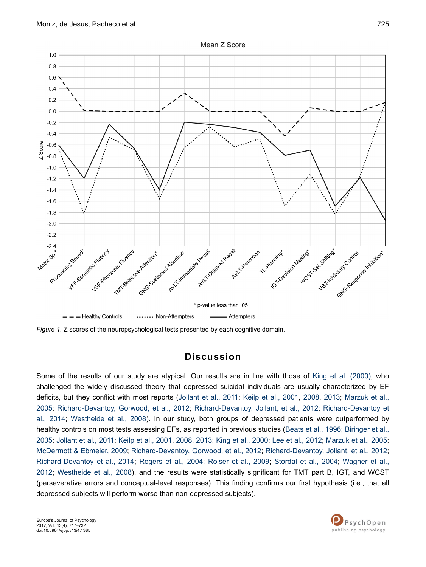<span id="page-8-0"></span>

*Figure 1.* Z scores of the neuropsychological tests presented by each cognitive domain.

### **Discussion**

Some of the results of our study are atypical. Our results are in line with those of [King et al. \(2000\),](#page-12-0) who challenged the widely discussed theory that depressed suicidal individuals are usually characterized by EF deficits, but they conflict with most reports ([Jollant et al., 2011](#page-11-0); [Keilp et al., 2001,](#page-11-0) [2008,](#page-11-0) [2013](#page-11-0); [Marzuk et al.,](#page-12-0) [2005](#page-12-0); [Richard-Devantoy, Gorwood, et al., 2012](#page-13-0); [Richard-Devantoy, Jollant, et al., 2012](#page-13-0); [Richard-Devantoy et](#page-13-0) [al., 2014](#page-13-0); [Westheide et al., 2008\)](#page-14-0). In our study, both groups of depressed patients were outperformed by healthy controls on most tests assessing EFs, as reported in previous studies ([Beats et al., 1996;](#page-10-0) [Biringer et al.,](#page-10-0) [2005](#page-10-0); [Jollant et al., 2011;](#page-11-0) [Keilp et al., 2001, 2008, 2013;](#page-11-0) [King et al., 2000](#page-12-0); [Lee et al., 2012](#page-12-0); [Marzuk et al., 2005](#page-12-0); [McDermott & Ebmeier, 2009;](#page-12-0) [Richard-Devantoy, Gorwood, et al., 2012](#page-13-0); [Richard-Devantoy, Jollant, et al., 2012](#page-13-0); [Richard-Devantoy et al., 2014;](#page-13-0) [Rogers et al., 2004;](#page-13-0) [Roiser et al., 2009;](#page-13-0) [Stordal et al., 2004](#page-14-0); [Wagner et al.,](#page-14-0) [2012](#page-14-0); [Westheide et al., 2008](#page-14-0)), and the results were statistically significant for TMT part B, IGT, and WCST (perseverative errors and conceptual-level responses). This finding confirms our first hypothesis (i.e., that all depressed subjects will perform worse than non-depressed subjects).

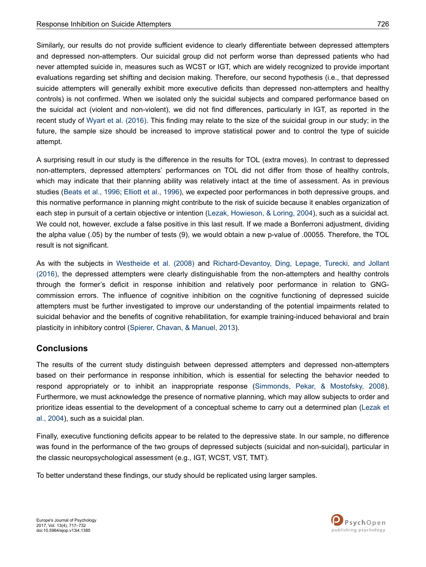Similarly, our results do not provide sufficient evidence to clearly differentiate between depressed attempters and depressed non-attempters. Our suicidal group did not perform worse than depressed patients who had never attempted suicide in, measures such as WCST or IGT, which are widely recognized to provide important evaluations regarding set shifting and decision making. Therefore, our second hypothesis (i.e., that depressed suicide attempters will generally exhibit more executive deficits than depressed non-attempters and healthy controls) is not confirmed. When we isolated only the suicidal subjects and compared performance based on the suicidal act (violent and non-violent), we did not find differences, particularly in IGT, as reported in the recent study of [Wyart et al. \(2016\).](#page-14-0) This finding may relate to the size of the suicidal group in our study; in the future, the sample size should be increased to improve statistical power and to control the type of suicide attempt.

A surprising result in our study is the difference in the results for TOL (extra moves). In contrast to depressed non-attempters, depressed attempters' performances on TOL did not differ from those of healthy controls, which may indicate that their planning ability was relatively intact at the time of assessment. As in previous studies ([Beats et al., 1996;](#page-10-0) [Elliott et al., 1996\)](#page-11-0), we expected poor performances in both depressive groups, and this normative performance in planning might contribute to the risk of suicide because it enables organization of each step in pursuit of a certain objective or intention ([Lezak, Howieson, & Loring, 2004](#page-12-0)), such as a suicidal act. We could not, however, exclude a false positive in this last result. If we made a Bonferroni adjustment, dividing the alpha value (.05) by the number of tests (9), we would obtain a new p-value of .00055. Therefore, the TOL result is not significant.

As with the subjects in [Westheide et al. \(2008\)](#page-14-0) and [Richard-Devantoy, Ding, Lepage, Turecki, and Jollant](#page-13-0) [\(2016\),](#page-13-0) the depressed attempters were clearly distinguishable from the non-attempters and healthy controls through the former's deficit in response inhibition and relatively poor performance in relation to GNGcommission errors. The influence of cognitive inhibition on the cognitive functioning of depressed suicide attempters must be further investigated to improve our understanding of the potential impairments related to suicidal behavior and the benefits of cognitive rehabilitation, for example training-induced behavioral and brain plasticity in inhibitory control ([Spierer, Chavan, & Manuel, 2013\)](#page-14-0).

### **Conclusions**

The results of the current study distinguish between depressed attempters and depressed non-attempters based on their performance in response inhibition, which is essential for selecting the behavior needed to respond appropriately or to inhibit an inappropriate response ([Simmonds, Pekar, & Mostofsky, 2008](#page-13-0)). Furthermore, we must acknowledge the presence of normative planning, which may allow subjects to order and prioritize ideas essential to the development of a conceptual scheme to carry out a determined plan ([Lezak et](#page-12-0) [al., 2004](#page-12-0)), such as a suicidal plan.

Finally, executive functioning deficits appear to be related to the depressive state. In our sample, no difference was found in the performance of the two groups of depressed subjects (suicidal and non-suicidal), particular in the classic neuropsychological assessment (e.g., IGT, WCST, VST, TMT).

To better understand these findings, our study should be replicated using larger samples.

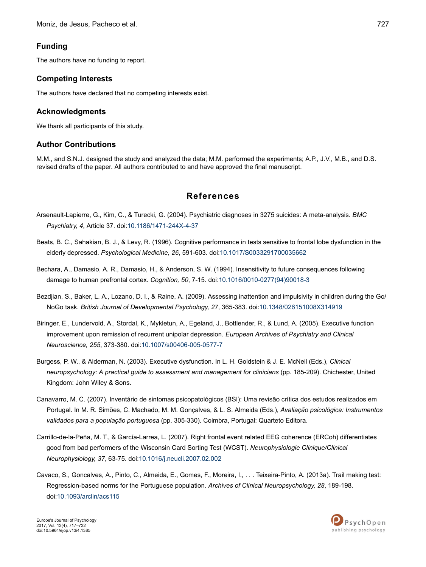### <span id="page-10-0"></span>**Funding**

The authors have no funding to report.

### **Competing Interests**

The authors have declared that no competing interests exist.

#### **Acknowledgments**

We thank all participants of this study.

### **Author Contributions**

M.M., and S.N.J. designed the study and analyzed the data; M.M. performed the experiments; A.P., J.V., M.B., and D.S. revised drafts of the paper. All authors contributed to and have approved the final manuscript.

### **References**

- Arsenault-Lapierre, G., Kim, C., & Turecki, G. (2004). Psychiatric diagnoses in 3275 suicides: A meta-analysis. *BMC Psychiatry, 4*, Article 37. doi[:10.1186/1471-244X-4-37](http://doi.org/10.1186/1471-244X-4-37)
- Beats, B. C., Sahakian, B. J., & Levy, R. (1996). Cognitive performance in tests sensitive to frontal lobe dysfunction in the elderly depressed. *Psychological Medicine, 26*, 591-603. doi[:10.1017/S0033291700035662](http://doi.org/10.1017/S0033291700035662)
- Bechara, A., Damasio, A. R., Damasio, H., & Anderson, S. W. (1994). Insensitivity to future consequences following damage to human prefrontal cortex. *Cognition, 50*, 7-15. doi:10.1016/0010-0277(94)90018-3
- Bezdjian, S., Baker, L. A., Lozano, D. I., & Raine, A. (2009). Assessing inattention and impulsivity in children during the Go/ NoGo task. *British Journal of Developmental Psychology, 27*, 365-383. doi:[10.1348/026151008X314919](http://doi.org/10.1348/026151008X314919)
- Biringer, E., Lundervold, A., Stordal, K., Mykletun, A., Egeland, J., Bottlender, R., & Lund, A. (2005). Executive function improvement upon remission of recurrent unipolar depression. *European Archives of Psychiatry and Clinical Neuroscience, 255*, 373-380. doi:[10.1007/s00406-005-0577-7](http://doi.org/10.1007/s00406-005-0577-7)
- Burgess, P. W., & Alderman, N. (2003). Executive dysfunction. In L. H. Goldstein & J. E. McNeil (Eds.), *Clinical neuropsychology: A practical guide to assessment and management for clinicians* (pp. 185-209). Chichester, United Kingdom: John Wiley & Sons.
- Canavarro, M. C. (2007). Inventário de sintomas psicopatológicos (BSI): Uma revisão crítica dos estudos realizados em Portugal. In M. R. Simões, C. Machado, M. M. Gonçalves, & L. S. Almeida (Eds.), *Avaliação psicológica: Instrumentos validados para a população portuguesa* (pp. 305-330). Coimbra, Portugal: Quarteto Editora.
- Carrillo-de-la-Peña, M. T., & García-Larrea, L. (2007). Right frontal event related EEG coherence (ERCoh) differentiates good from bad performers of the Wisconsin Card Sorting Test (WCST). *Neurophysiologie Clinique/Clinical Neurophysiology, 37*, 63-75. doi[:10.1016/j.neucli.2007.02.002](http://doi.org/10.1016/j.neucli.2007.02.002)
- Cavaco, S., Goncalves, A., Pinto, C., Almeida, E., Gomes, F., Moreira, I., . . . Teixeira-Pinto, A. (2013a). Trail making test: Regression-based norms for the Portuguese population. *Archives of Clinical Neuropsychology, 28*, 189-198. doi:[10.1093/arclin/acs115](http://doi.org/10.1093/arclin/acs115)

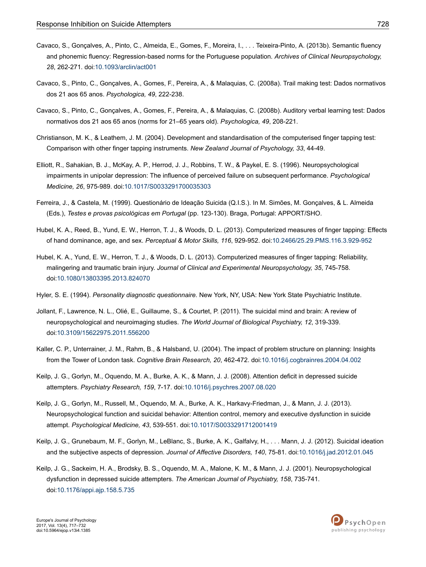- <span id="page-11-0"></span>Cavaco, S., Gonçalves, A., Pinto, C., Almeida, E., Gomes, F., Moreira, I., . . . Teixeira-Pinto, A. (2013b). Semantic fluency and phonemic fluency: Regression-based norms for the Portuguese population. *Archives of Clinical Neuropsychology, 28*, 262-271. doi:[10.1093/arclin/act001](http://doi.org/10.1093/arclin/act001)
- Cavaco, S., Pinto, C., Gonçalves, A., Gomes, F., Pereira, A., & Malaquias, C. (2008a). Trail making test: Dados normativos dos 21 aos 65 anos. *Psychologica, 49*, 222-238.
- Cavaco, S., Pinto, C., Gonçalves, A., Gomes, F., Pereira, A., & Malaquias, C. (2008b). Auditory verbal learning test: Dados normativos dos 21 aos 65 anos (norms for 21–65 years old). *Psychologica, 49*, 208-221.
- Christianson, M. K., & Leathem, J. M. (2004). Development and standardisation of the computerised finger tapping test: Comparison with other finger tapping instruments. *New Zealand Journal of Psychology, 33*, 44-49.
- Elliott, R., Sahakian, B. J., McKay, A. P., Herrod, J. J., Robbins, T. W., & Paykel, E. S. (1996). Neuropsychological impairments in unipolar depression: The influence of perceived failure on subsequent performance. *Psychological Medicine, 26*, 975-989. doi:[10.1017/S0033291700035303](http://doi.org/10.1017/S0033291700035303)
- Ferreira, J., & Castela, M. (1999). Questionário de Ideação Suicida (Q.I.S.). In M. Simões, M. Gonçalves, & L. Almeida (Eds.), *Testes e provas psicológicas em Portugal* (pp. 123-130). Braga, Portugal: APPORT/SHO.
- Hubel, K. A., Reed, B., Yund, E. W., Herron, T. J., & Woods, D. L. (2013). Computerized measures of finger tapping: Effects of hand dominance, age, and sex. *Perceptual & Motor Skills, 116*, 929-952. doi:[10.2466/25.29.PMS.116.3.929-952](http://doi.org/10.2466/25.29.PMS.116.3.929-952)
- Hubel, K. A., Yund, E. W., Herron, T. J., & Woods, D. L. (2013). Computerized measures of finger tapping: Reliability, malingering and traumatic brain injury. *Journal of Clinical and Experimental Neuropsychology, 35*, 745-758. doi:[10.1080/13803395.2013.824070](http://doi.org/10.1080/13803395.2013.824070)
- Hyler, S. E. (1994). *Personality diagnostic questionnaire.* New York, NY, USA: New York State Psychiatric Institute.
- Jollant, F., Lawrence, N. L., Olié, E., Guillaume, S., & Courtet, P. (2011). The suicidal mind and brain: A review of neuropsychological and neuroimaging studies. *The World Journal of Biological Psychiatry, 12*, 319-339. doi:[10.3109/15622975.2011.556200](http://doi.org/10.3109/15622975.2011.556200)
- Kaller, C. P., Unterrainer, J. M., Rahm, B., & Halsband, U. (2004). The impact of problem structure on planning: Insights from the Tower of London task. *Cognitive Brain Research, 20*, 462-472. doi:[10.1016/j.cogbrainres.2004.04.002](http://doi.org/10.1016/j.cogbrainres.2004.04.002)
- Keilp, J. G., Gorlyn, M., Oquendo, M. A., Burke, A. K., & Mann, J. J. (2008). Attention deficit in depressed suicide attempters. *Psychiatry Research, 159*, 7-17. doi:[10.1016/j.psychres.2007.08.020](http://doi.org/10.1016/j.psychres.2007.08.020)
- Keilp, J. G., Gorlyn, M., Russell, M., Oquendo, M. A., Burke, A. K., Harkavy-Friedman, J., & Mann, J. J. (2013). Neuropsychological function and suicidal behavior: Attention control, memory and executive dysfunction in suicide attempt. *Psychological Medicine, 43*, 539-551. doi[:10.1017/S0033291712001419](http://doi.org/10.1017/S0033291712001419)
- Keilp, J. G., Grunebaum, M. F., Gorlyn, M., LeBlanc, S., Burke, A. K., Galfalvy, H., . . . Mann, J. J. (2012). Suicidal ideation and the subjective aspects of depression. *Journal of Affective Disorders, 140*, 75-81. doi:[10.1016/j.jad.2012.01.045](http://doi.org/10.1016/j.jad.2012.01.045)
- Keilp, J. G., Sackeim, H. A., Brodsky, B. S., Oquendo, M. A., Malone, K. M., & Mann, J. J. (2001). Neuropsychological dysfunction in depressed suicide attempters. *The American Journal of Psychiatry, 158*, 735-741. doi:[10.1176/appi.ajp.158.5.735](http://doi.org/10.1176/appi.ajp.158.5.735)

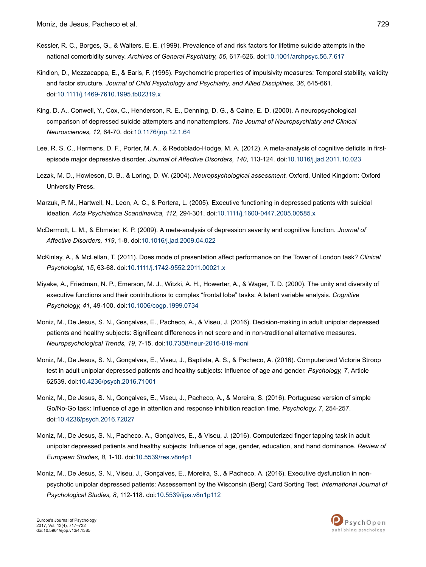- <span id="page-12-0"></span>Kessler, R. C., Borges, G., & Walters, E. E. (1999). Prevalence of and risk factors for lifetime suicide attempts in the national comorbidity survey. *Archives of General Psychiatry, 56*, 617-626. doi:[10.1001/archpsyc.56.7.617](http://doi.org/10.1001/archpsyc.56.7.617)
- Kindlon, D., Mezzacappa, E., & Earls, F. (1995). Psychometric properties of impulsivity measures: Temporal stability, validity and factor structure. *Journal of Child Psychology and Psychiatry, and Allied Disciplines, 36*, 645-661. doi:[10.1111/j.1469-7610.1995.tb02319.x](http://doi.org/10.1111/j.1469-7610.1995.tb02319.x)
- King, D. A., Conwell, Y., Cox, C., Henderson, R. E., Denning, D. G., & Caine, E. D. (2000). A neuropsychological comparison of depressed suicide attempters and nonattempters. *The Journal of Neuropsychiatry and Clinical Neurosciences, 12*, 64-70. doi[:10.1176/jnp.12.1.64](http://doi.org/10.1176/jnp.12.1.64)
- Lee, R. S. C., Hermens, D. F., Porter, M. A., & Redoblado-Hodge, M. A. (2012). A meta-analysis of cognitive deficits in firstepisode major depressive disorder. *Journal of Affective Disorders, 140*, 113-124. doi:[10.1016/j.jad.2011.10.023](http://doi.org/10.1016/j.jad.2011.10.023)
- Lezak, M. D., Howieson, D. B., & Loring, D. W. (2004). *Neuropsychological assessment.* Oxford, United Kingdom: Oxford University Press.
- Marzuk, P. M., Hartwell, N., Leon, A. C., & Portera, L. (2005). Executive functioning in depressed patients with suicidal ideation. *Acta Psychiatrica Scandinavica, 112*, 294-301. doi:[10.1111/j.1600-0447.2005.00585.x](http://doi.org/10.1111/j.1600-0447.2005.00585.x)
- McDermott, L. M., & Ebmeier, K. P. (2009). A meta-analysis of depression severity and cognitive function. *Journal of Affective Disorders, 119*, 1-8. doi:[10.1016/j.jad.2009.04.022](http://doi.org/10.1016/j.jad.2009.04.022)
- McKinlay, A., & McLellan, T. (2011). Does mode of presentation affect performance on the Tower of London task? *Clinical Psychologist, 15*, 63-68. doi[:10.1111/j.1742-9552.2011.00021.x](http://doi.org/10.1111/j.1742-9552.2011.00021.x)
- Miyake, A., Friedman, N. P., Emerson, M. J., Witzki, A. H., Howerter, A., & Wager, T. D. (2000). The unity and diversity of executive functions and their contributions to complex "frontal lobe" tasks: A latent variable analysis. *Cognitive Psychology, 41*, 49-100. doi[:10.1006/cogp.1999.0734](http://doi.org/10.1006/cogp.1999.0734)
- Moniz, M., De Jesus, S. N., Gonçalves, E., Pacheco, A., & Viseu, J. (2016). Decision-making in adult unipolar depressed patients and healthy subjects: Significant differences in net score and in non-traditional alternative measures. *Neuropsychological Trends, 19*, 7-15. doi[:10.7358/neur-2016-019-moni](http://doi.org/10.7358/neur-2016-019-moni)
- Moniz, M., De Jesus, S. N., Gonçalves, E., Viseu, J., Baptista, A. S., & Pacheco, A. (2016). Computerized Victoria Stroop test in adult unipolar depressed patients and healthy subjects: Influence of age and gender. *Psychology, 7*, Article 62539. doi:[10.4236/psych.2016.71001](http://doi.org/10.4236/psych.2016.71001)
- Moniz, M., De Jesus, S. N., Gonçalves, E., Viseu, J., Pacheco, A., & Moreira, S. (2016). Portuguese version of simple Go/No-Go task: Influence of age in attention and response inhibition reaction time. *Psychology, 7*, 254-257. doi:[10.4236/psych.2016.72027](http://doi.org/10.4236/psych.2016.72027)
- Moniz, M., De Jesus, S. N., Pacheco, A., Gonçalves, E., & Viseu, J. (2016). Computerized finger tapping task in adult unipolar depressed patients and healthy subjects: Influence of age, gender, education, and hand dominance. *Review of European Studies, 8*, 1-10. doi[:10.5539/res.v8n4p1](http://doi.org/10.5539/res.v8n4p1)
- Moniz, M., De Jesus, S. N., Viseu, J., Gonçalves, E., Moreira, S., & Pacheco, A. (2016). Executive dysfunction in nonpsychotic unipolar depressed patients: Assessement by the Wisconsin (Berg) Card Sorting Test. *International Journal of Psychological Studies, 8*, 112-118. doi:[10.5539/ijps.v8n1p112](http://doi.org/10.5539/ijps.v8n1p112)

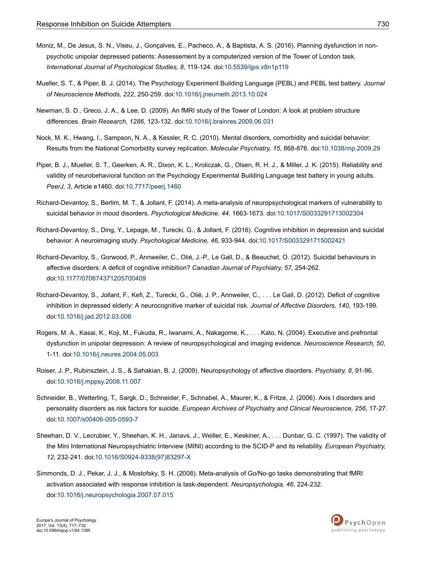- <span id="page-13-0"></span>Moniz, M., De Jesus, S. N., Viseu, J., Gonçalves, E., Pacheco, A., & Baptista, A. S. (2016). Planning dysfunction in nonpsychotic unipolar depressed patients: Assessement by a computerized version of the Tower of London task. *International Journal of Psychological Studies, 8*, 119-124. doi:[10.5539/ijps.v8n1p119](http://doi.org/10.5539/ijps.v8n1p119)
- Mueller, S. T., & Piper, B. J. (2014). The Psychology Experiment Building Language (PEBL) and PEBL test battery. *Journal of Neuroscience Methods, 222*, 250-259. doi:[10.1016/j.jneumeth.2013.10.024](http://doi.org/10.1016/j.jneumeth.2013.10.024)
- Newman, S. D., Greco, J. A., & Lee, D. (2009). An fMRI study of the Tower of London: A look at problem structure differences. *Brain Research, 1286*, 123-132. doi:[10.1016/j.brainres.2009.06.031](http://doi.org/10.1016/j.brainres.2009.06.031)
- Nock, M. K., Hwang, I., Sampson, N. A., & Kessler, R. C. (2010). Mental disorders, comorbidity and suicidal behavior: Results from the National Comorbidity survey replication. *Molecular Psychiatry, 15*, 868-876. doi[:10.1038/mp.2009.29](http://doi.org/10.1038/mp.2009.29)
- Piper, B. J., Mueller, S. T., Geerken, A. R., Dixon, K. L., Kroliczak, G., Olsen, R. H. J., & Miller, J. K. (2015). Reliability and validity of neurobehavioral function on the Psychology Experimental Building Language test battery in young adults. *PeerJ, 3*, Article e1460. doi:[10.7717/peerj.1460](http://doi.org/10.7717/peerj.1460)
- Richard-Devantoy, S., Berlim, M. T., & Jollant, F. (2014). A meta-analysis of neuropsychological markers of vulnerability to suicidal behavior in mood disorders. *Psychological Medicine, 44*, 1663-1673. doi[:10.1017/S0033291713002304](http://doi.org/10.1017/S0033291713002304)
- Richard-Devantoy, S., Ding, Y., Lepage, M., Turecki, G., & Jollant, F. (2016). Cognitive inhibition in depression and suicidal behavior: A neuroimaging study. *Psychological Medicine, 46*, 933-944. doi[:10.1017/S0033291715002421](http://doi.org/10.1017/S0033291715002421)
- Richard-Devantoy, S., Gorwood, P., Annweiler, C., Olié, J.-P., Le Gall, D., & Beauchet, O. (2012). Suicidal behaviours in affective disorders: A deficit of cognitive inhibition? *Canadian Journal of Psychiatry, 57*, 254-262. doi:[10.1177/070674371205700409](http://doi.org/10.1177/070674371205700409)
- Richard-Devantoy, S., Jollant, F., Kefi, Z., Turecki, G., Olié, J. P., Annweiler, C., . . . Le Gall, D. (2012). Deficit of cognitive inhibition in depressed elderly: A neurocognitive marker of suicidal risk. *Journal of Affective Disorders, 140*, 193-199. doi:[10.1016/j.jad.2012.03.006](http://doi.org/10.1016/j.jad.2012.03.006)
- Rogers, M. A., Kasai, K., Koji, M., Fukuda, R., Iwanami, A., Nakagome, K., . . . Kato, N. (2004). Executive and prefrontal dysfunction in unipolar depression: A review of neuropsychological and imaging evidence. *Neuroscience Research, 50*, 1-11. doi[:10.1016/j.neures.2004.05.003](http://doi.org/10.1016/j.neures.2004.05.003)
- Roiser, J. P., Rubinsztein, J. S., & Sahakian, B. J. (2009). Neuropsychology of affective disorders. *Psychiatry, 8*, 91-96. doi:[10.1016/j.mppsy.2008.11.007](http://doi.org/10.1016/j.mppsy.2008.11.007)
- Schneider, B., Wetterling, T., Sargk, D., Schneider, F., Schnabel, A., Maurer, K., & Fritze, J. (2006). Axis I disorders and personality disorders as risk factors for suicide. *European Archives of Psychiatry and Clinical Neuroscience, 256*, 17-27. doi:[10.1007/s00406-005-0593-7](http://doi.org/10.1007/s00406-005-0593-7)
- Sheehan, D. V., Lecrubier, Y., Sheehan, K. H., Janavs, J., Weiller, E., Keskiner, A., . . . Dunbar, G. C. (1997). The validity of the Mini International Neuropsychiatric Interview (MINI) according to the SCID-P and its reliability. *European Psychiatry, 12*, 232-241. doi:10.1016/S0924-9338(97)83297-X
- Simmonds, D. J., Pekar, J. J., & Mostofsky, S. H. (2008). Meta-analysis of Go/No-go tasks demonstrating that fMRI activation associated with response inhibition is task-dependent. *Neuropsychologia, 46*, 224-232. doi:[10.1016/j.neuropsychologia.2007.07.015](http://doi.org/10.1016/j.neuropsychologia.2007.07.015)



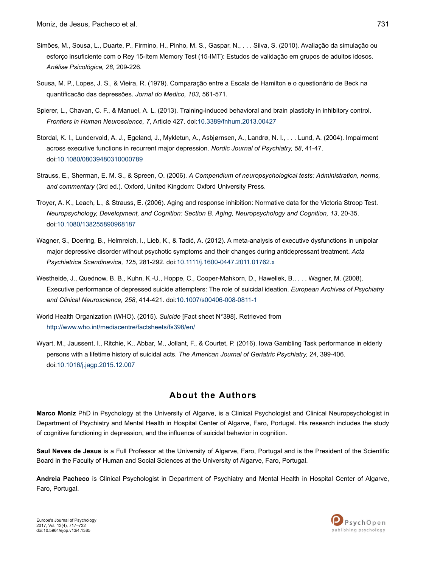- <span id="page-14-0"></span>Simões, M., Sousa, L., Duarte, P., Firmino, H., Pinho, M. S., Gaspar, N., . . . Silva, S. (2010). Avaliação da simulação ou esforço insuficiente com o Rey 15-Item Memory Test (15-IMT): Estudos de validação em grupos de adultos idosos. *Análise Psicológica, 28*, 209-226.
- Sousa, M. P., Lopes, J. S., & Vieira, R. (1979). Comparação entre a Escala de Hamilton e o questionário de Beck na quantificacão das depressões. *Jornal do Medico, 103*, 561-571.
- Spierer, L., Chavan, C. F., & Manuel, A. L. (2013). Training-induced behavioral and brain plasticity in inhibitory control. *Frontiers in Human Neuroscience, 7*, Article 427. doi[:10.3389/fnhum.2013.00427](http://doi.org/10.3389/fnhum.2013.00427)
- Stordal, K. I., Lundervold, A. J., Egeland, J., Mykletun, A., Asbjørnsen, A., Landrø, N. I., . . . Lund, A. (2004). Impairment across executive functions in recurrent major depression. *Nordic Journal of Psychiatry, 58*, 41-47. doi:[10.1080/08039480310000789](http://doi.org/10.1080/08039480310000789)
- Strauss, E., Sherman, E. M. S., & Spreen, O. (2006). *A Compendium of neuropsychological tests: Administration, norms, and commentary* (3rd ed.). Oxford, United Kingdom: Oxford University Press.
- Troyer, A. K., Leach, L., & Strauss, E. (2006). Aging and response inhibition: Normative data for the Victoria Stroop Test. *Neuropsychology, Development, and Cognition: Section B. Aging, Neuropsychology and Cognition, 13*, 20-35. doi:[10.1080/138255890968187](http://doi.org/10.1080/138255890968187)
- Wagner, S., Doering, B., Helmreich, I., Lieb, K., & Tadić, A. (2012). A meta-analysis of executive dysfunctions in unipolar major depressive disorder without psychotic symptoms and their changes during antidepressant treatment. *Acta Psychiatrica Scandinavica, 125*, 281-292. doi[:10.1111/j.1600-0447.2011.01762.x](http://doi.org/10.1111/j.1600-0447.2011.01762.x)
- Westheide, J., Quednow, B. B., Kuhn, K.-U., Hoppe, C., Cooper-Mahkorn, D., Hawellek, B., . . . Wagner, M. (2008). Executive performance of depressed suicide attempters: The role of suicidal ideation. *European Archives of Psychiatry and Clinical Neuroscience, 258*, 414-421. doi:[10.1007/s00406-008-0811-1](http://doi.org/10.1007/s00406-008-0811-1)
- World Health Organization (WHO). (2015). *Suicide* [Fact sheet N°398]. Retrieved from <http://www.who.int/mediacentre/factsheets/fs398/en/>
- Wyart, M., Jaussent, I., Ritchie, K., Abbar, M., Jollant, F., & Courtet, P. (2016). Iowa Gambling Task performance in elderly persons with a lifetime history of suicidal acts. *The American Journal of Geriatric Psychiatry, 24*, 399-406. doi:[10.1016/j.jagp.2015.12.007](http://doi.org/10.1016/j.jagp.2015.12.007)

### **About the Authors**

**Marco Moniz** PhD in Psychology at the University of Algarve, is a Clinical Psychologist and Clinical Neuropsychologist in Department of Psychiatry and Mental Health in Hospital Center of Algarve, Faro, Portugal. His research includes the study of cognitive functioning in depression, and the influence of suicidal behavior in cognition.

**Saul Neves de Jesus** is a Full Professor at the University of Algarve, Faro, Portugal and is the President of the Scientific Board in the Faculty of Human and Social Sciences at the University of Algarve, Faro, Portugal.

**Andreia Pacheco** is Clinical Psychologist in Department of Psychiatry and Mental Health in Hospital Center of Algarve, Faro, Portugal.



Europe's Journal of Psychology 2017, Vol. 13(4), 717–732 doi:10.5964/ejop.v13i4.1385